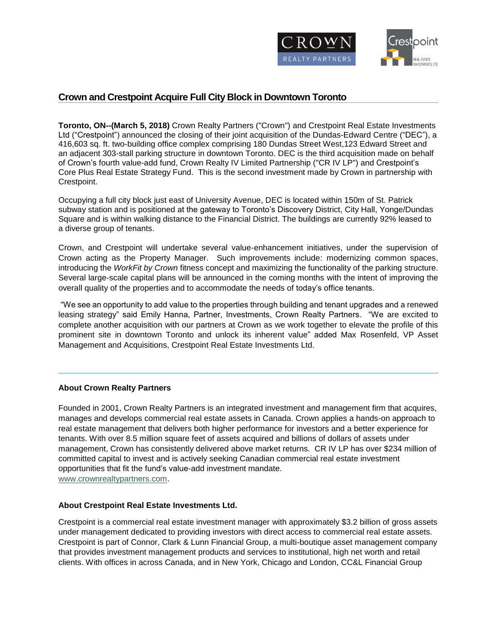

## **Crown and Crestpoint Acquire Full City Block in Downtown Toronto**

**Toronto, ON--(March 5, 2018)** Crown Realty Partners ("Crown") and Crestpoint Real Estate Investments Ltd ("Crestpoint") announced the closing of their joint acquisition of the Dundas-Edward Centre ("DEC"), a 416,603 sq. ft. two-building office complex comprising 180 Dundas Street West,123 Edward Street and an adjacent 303-stall parking structure in downtown Toronto. DEC is the third acquisition made on behalf of Crown's fourth value-add fund, Crown Realty IV Limited Partnership ("CR IV LP") and Crestpoint's Core Plus Real Estate Strategy Fund. This is the second investment made by Crown in partnership with Crestpoint.

Occupying a full city block just east of University Avenue, DEC is located within 150m of St. Patrick subway station and is positioned at the gateway to Toronto's Discovery District, City Hall, Yonge/Dundas Square and is within walking distance to the Financial District. The buildings are currently 92% leased to a diverse group of tenants.

Crown, and Crestpoint will undertake several value-enhancement initiatives, under the supervision of Crown acting as the Property Manager. Such improvements include: modernizing common spaces, introducing the *WorkFit by Crown* fitness concept and maximizing the functionality of the parking structure. Several large-scale capital plans will be announced in the coming months with the intent of improving the overall quality of the properties and to accommodate the needs of today's office tenants.

"We see an opportunity to add value to the properties through building and tenant upgrades and a renewed leasing strategy" said Emily Hanna, Partner, Investments, Crown Realty Partners. "We are excited to complete another acquisition with our partners at Crown as we work together to elevate the profile of this prominent site in downtown Toronto and unlock its inherent value" added Max Rosenfeld, VP Asset Management and Acquisitions, Crestpoint Real Estate Investments Ltd.

## **About Crown Realty Partners**

Founded in 2001, Crown Realty Partners is an integrated investment and management firm that acquires, manages and develops commercial real estate assets in Canada. Crown applies a hands-on approach to real estate management that delivers both higher performance for investors and a better experience for tenants. With over 8.5 million square feet of assets acquired and billions of dollars of assets under management, Crown has consistently delivered above market returns. CR IV LP has over \$234 million of committed capital to invest and is actively seeking Canadian commercial real estate investment opportunities that fit the fund's value-add investment mandate. [www.crownrealtypartners.com.](http://www.crownrealtypartners.com/)

## **About Crestpoint Real Estate Investments Ltd.**

Crestpoint is a commercial real estate investment manager with approximately \$3.2 billion of gross assets under management dedicated to providing investors with direct access to commercial real estate assets. Crestpoint is part of Connor, Clark & Lunn Financial Group, a multi-boutique asset management company that provides investment management products and services to institutional, high net worth and retail clients. With offices in across Canada, and in New York, Chicago and London, CC&L Financial Group